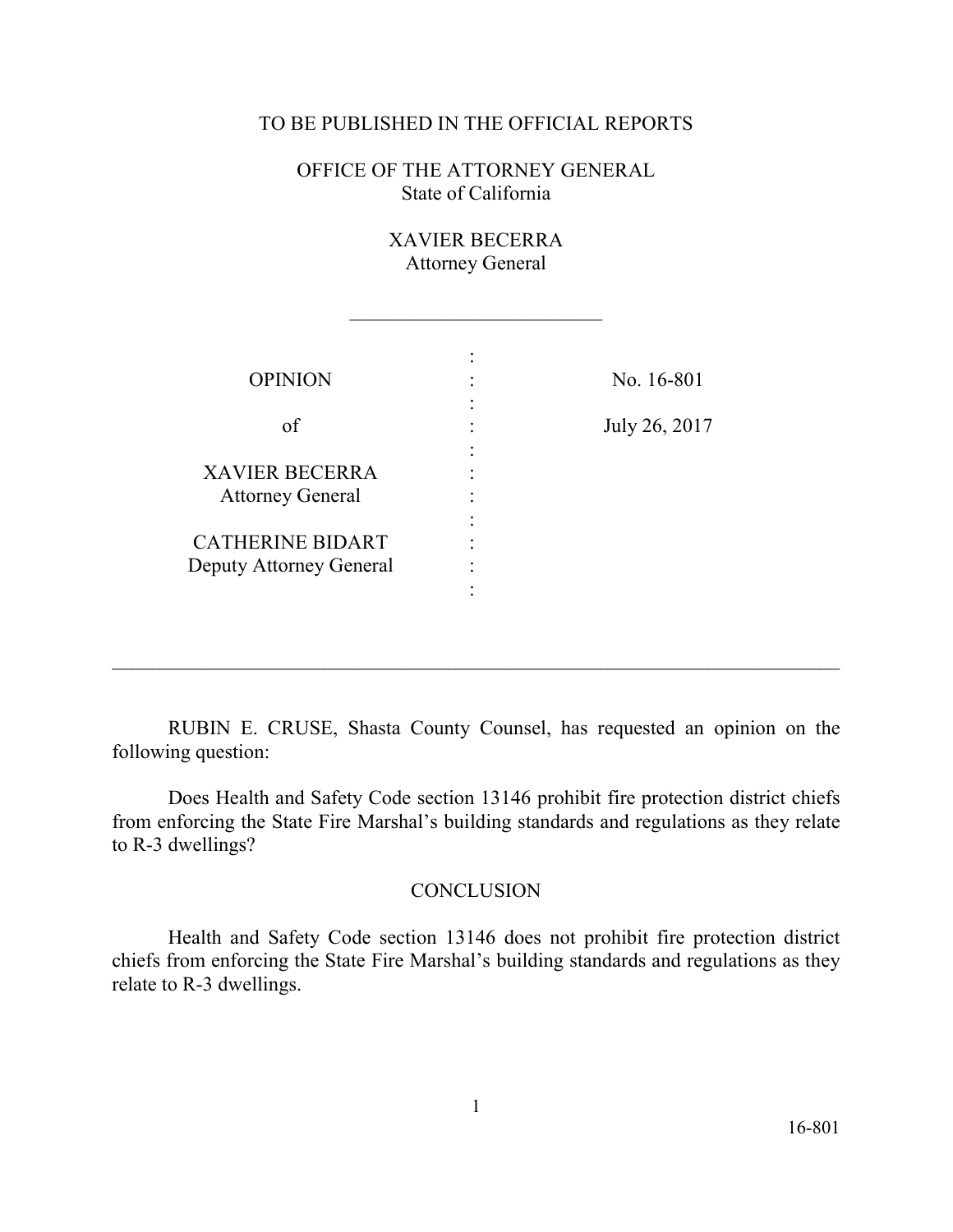## TO BE PUBLISHED IN THE OFFICIAL REPORTS

OFFICE OF THE ATTORNEY GENERAL State of California

> XAVIER BECERRA Attorney General

 $\overline{\phantom{a}}$  , where  $\overline{\phantom{a}}$  , where  $\overline{\phantom{a}}$  , where  $\overline{\phantom{a}}$  , where  $\overline{\phantom{a}}$ 

| <b>OPINION</b>                                     | No. 16-801    |
|----------------------------------------------------|---------------|
| of                                                 | July 26, 2017 |
| <b>XAVIER BECERRA</b><br><b>Attorney General</b>   |               |
| <b>CATHERINE BIDART</b><br>Deputy Attorney General |               |
|                                                    |               |

RUBIN E. CRUSE, Shasta County Counsel, has requested an opinion on the following question:

 $\_$  , and the contribution of the contribution of  $\mathcal{L}_\mathcal{A}$  , and the contribution of  $\mathcal{L}_\mathcal{A}$  , and the contribution of  $\mathcal{L}_\mathcal{A}$ 

 Does Health and Safety Code section 13146 prohibit fire protection district chiefs from enforcing the State Fire Marshal's building standards and regulations as they relate to R-3 dwellings?

## **CONCLUSION**

 chiefs from enforcing the State Fire Marshal's building standards and regulations as they Health and Safety Code section 13146 does not prohibit fire protection district relate to R-3 dwellings.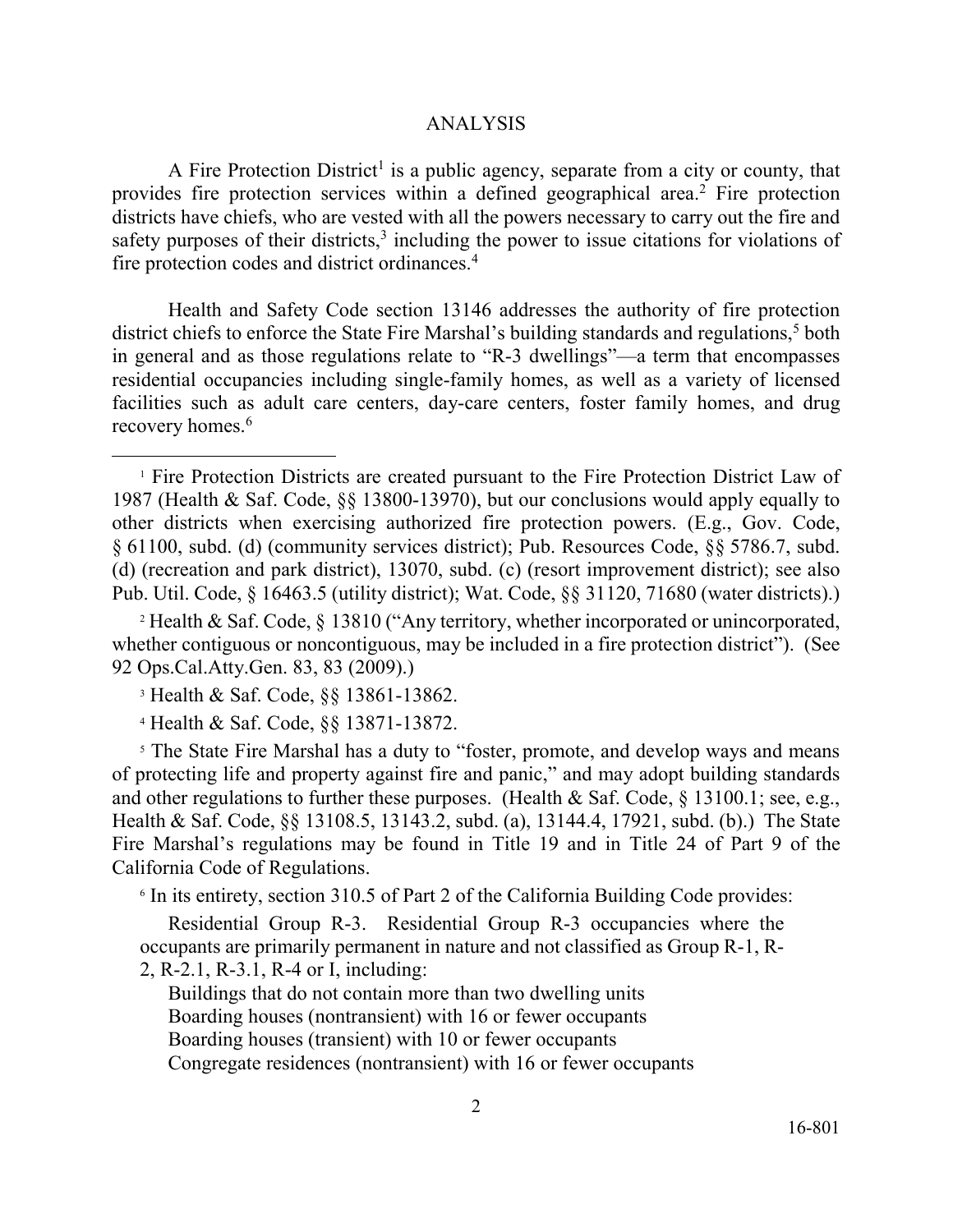## ANALYSIS

A Fire Protection District<sup>1</sup> is a public agency, separate from a city or county, that safety purposes of their districts, $3$  including the power to issue citations for violations of fire protection codes and district ordinances.<sup>4</sup> provides fire protection services within a defined geographical area.<sup>2</sup> Fire protection districts have chiefs, who are vested with all the powers necessary to carry out the fire and

Health and Safety Code section 13146 addresses the authority of fire protection district chiefs to enforce the State Fire Marshal's building standards and regulations, 5 both in general and as those regulations relate to "R-3 dwellings"—a term that encompasses residential occupancies including single-family homes, as well as a variety of licensed facilities such as adult care centers, day-care centers, foster family homes, and drug recovery homes.<sup>6</sup>

<sup>2</sup> Health & Saf. Code,  $\S$  13810 ("Any territory, whether incorporated or unincorporated, whether contiguous or noncontiguous, may be included in a fire protection district"). (See 92 Ops.Cal.Atty.Gen. 83, 83 (2009).)

<sup>[3](#page-2-0)</sup> Health & Saf. Code, §§ 13861-13862.

 $\overline{a}$ 

4 Health & Saf. Code, §§ 13871-13872.

 Fire Marshal's regulations may be found in Title 19 and in Title 24 of Part 9 of the <sup>5</sup> The State Fire Marshal has a duty to "foster, promote, and develop ways and means of protecting life and property against fire and panic," and may adopt building standards and other regulations to further these purposes. (Health & Saf. Code, § 13100.1; see, e.g., Health & Saf. Code, §§ 13108.5, 13143.2, subd. (a), 13144.4, 17921, subd. (b).) The State California Code of Regulations.

6 In its entirety, section 310.5 of Part 2 of the California Building Code provides:

 occupants are primarily permanent in nature and not classified as Group R-1, R-Residential Group R-3. Residential Group R-3 occupancies where the 2, R-2.1, R-3.1, R-4 or I, including:

Buildings that do not contain more than two dwelling units Boarding houses (nontransient) with 16 or fewer occupants Boarding houses (transient) with 10 or fewer occupants Congregate residences (nontransient) with 16 or fewer occupants

<sup>&</sup>lt;sup>1</sup> Fire Protection Districts are created pursuant to the Fire Protection District Law of 1987 (Health & Saf. Code, §§ 13800-13970), but our conclusions would apply equally to other districts when exercising authorized fire protection powers. (E.g., Gov. Code, § 61100, subd. (d) (community services district); Pub. Resources Code, §§ 5786.7, subd. (d) (recreation and park district), 13070, subd. (c) (resort improvement district); see also Pub. Util. Code, § 16463.5 (utility district); Wat. Code, §§ 31120, 71680 (water districts).)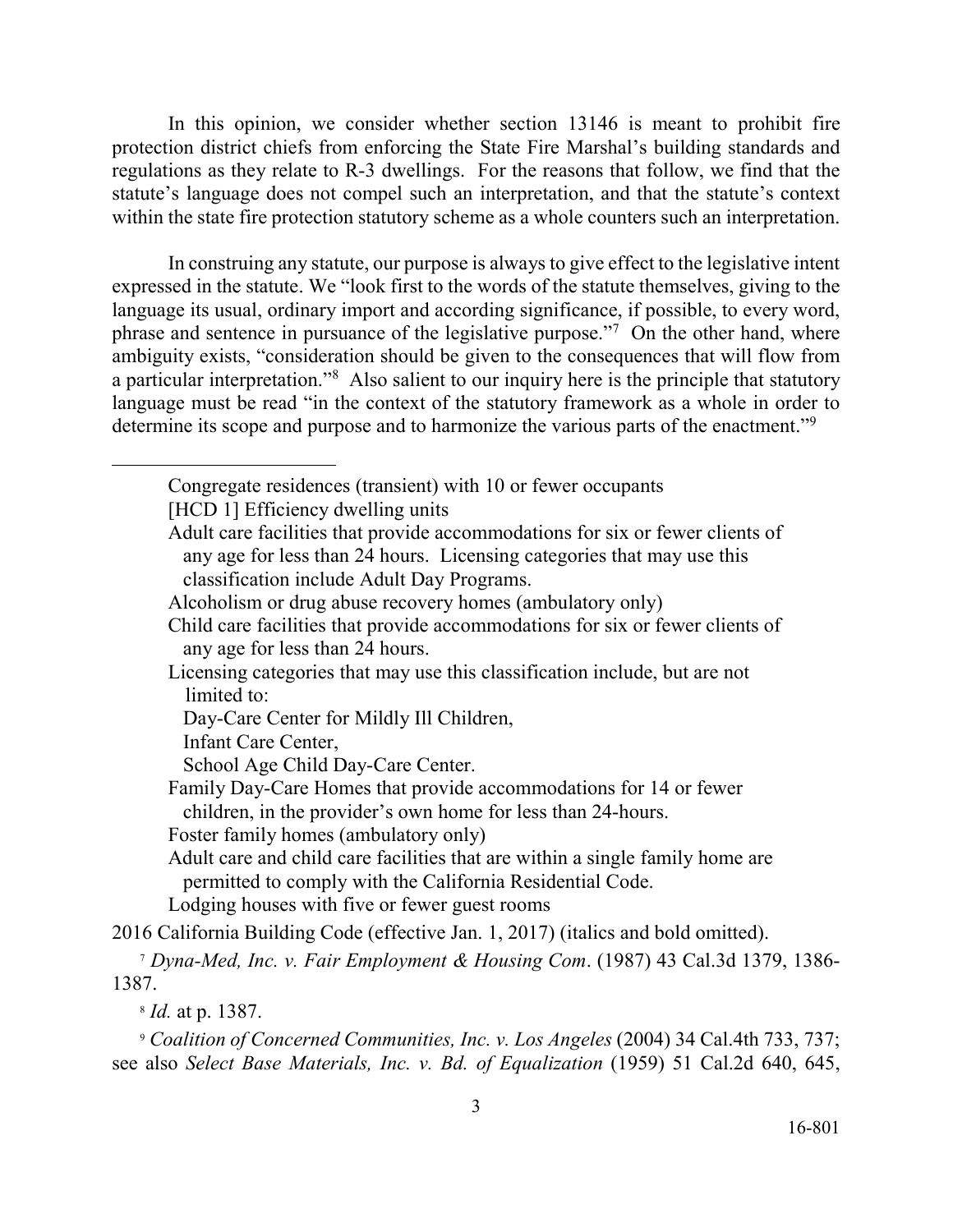<span id="page-2-0"></span> within the state fire protection statutory scheme as a whole counters such an interpretation. In this opinion, we consider whether section 13146 is meant to prohibit fire protection district chiefs from enforcing the State Fire Marshal's building standards and regulations as they relate to R-3 dwellings. For the reasons that follow, we find that the statute's language does not compel such an interpretation, and that the statute's context

phrase and sentence in pursuance of the legislative purpose."<sup>7</sup> On the other hand, where a particular interpretation."<sup>8</sup> Also salient to our inquiry here is the principle that statutory In construing any statute, our purpose is always to give effect to the legislative intent expressed in the statute. We "look first to the words of the statute themselves, giving to the language its usual, ordinary import and according significance, if possible, to every word, ambiguity exists, "consideration should be given to the consequences that will flow from language must be read "in the context of the statutory framework as a whole in order to determine its scope and purpose and to harmonize the various parts of the enactment."<sup>9</sup>

Congregate residences (transient) with 10 or fewer occupants [HCD 1] Efficiency dwelling units

Adult care facilities that provide accommodations for six or fewer clients of any age for less than 24 hours. Licensing categories that may use this classification include Adult Day Programs.

Alcoholism or drug abuse recovery homes (ambulatory only)

Child care facilities that provide accommodations for six or fewer clients of any age for less than 24 hours.

Licensing categories that may use this classification include, but are not limited to:

Day-Care Center for Mildly Ill Children,

Infant Care Center,

School Age Child Day-Care Center.

Family Day-Care Homes that provide accommodations for 14 or fewer children, in the provider's own home for less than 24-hours.

Foster family homes (ambulatory only)

 Adult care and child care facilities that are within a single family home are permitted to comply with the California Residential Code.

Lodging houses with five or fewer guest rooms

2016 California Building Code (effective Jan. 1, 2017) (italics and bold omitted).

<sup>7</sup>*Dyna-Med, Inc. v. Fair Employment & Housing Com*. (1987) 43 Cal.3d 1379, 1386- 1387.

<sup>8</sup>*Id.* at p. 1387.

 $\overline{a}$ 

 <sup>9</sup>*Coalition of Concerned Communities, Inc. v. Los Angeles* (2004) 34 Cal.4th 733, 737; see also *Select Base Materials, Inc. v. Bd. of Equalization* (1959) 51 Cal.2d 640, 645,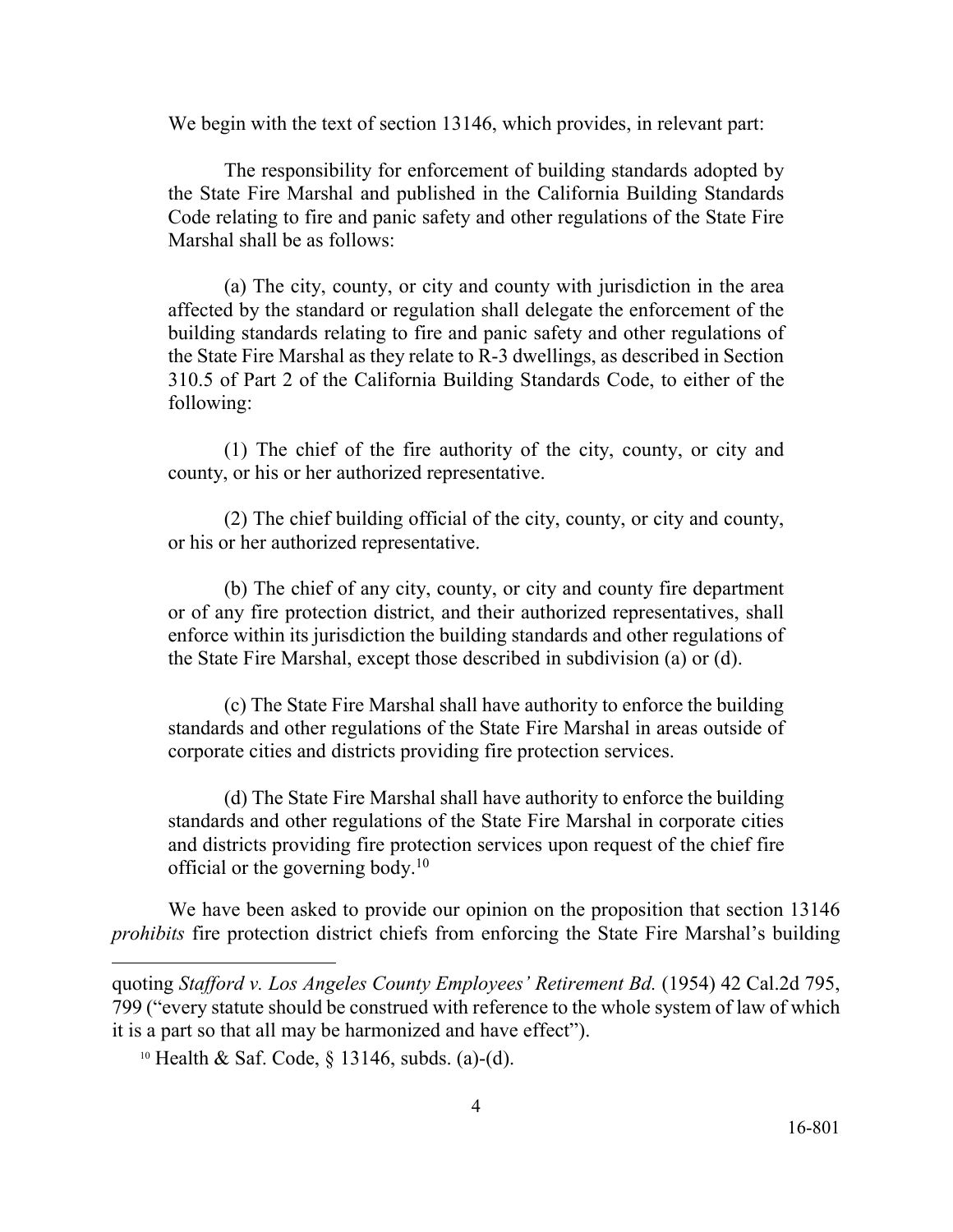We begin with the text of section 13146, which provides, in relevant part:

 Code relating to fire and panic safety and other regulations of the State Fire The responsibility for enforcement of building standards adopted by the State Fire Marshal and published in the California Building Standards Marshal shall be as follows:

 (a) The city, county, or city and county with jurisdiction in the area affected by the standard or regulation shall delegate the enforcement of the building standards relating to fire and panic safety and other regulations of the State Fire Marshal as they relate to R-3 dwellings, as described in Section 310.5 of Part 2 of the California Building Standards Code, to either of the following:

(1) The chief of the fire authority of the city, county, or city and county, or his or her authorized representative.

 (2) The chief building official of the city, county, or city and county, or his or her authorized representative.

 (b) The chief of any city, county, or city and county fire department or of any fire protection district, and their authorized representatives, shall enforce within its jurisdiction the building standards and other regulations of the State Fire Marshal, except those described in subdivision (a) or (d).

 standards and other regulations of the State Fire Marshal in areas outside of (c) The State Fire Marshal shall have authority to enforce the building corporate cities and districts providing fire protection services.

official or the governing body. $10$ (d) The State Fire Marshal shall have authority to enforce the building standards and other regulations of the State Fire Marshal in corporate cities and districts providing fire protection services upon request of the chief fire

 *prohibits* fire protection district chiefs from enforcing the State Fire Marshal's building We have been asked to provide our opinion on the proposition that section 13146

 $\overline{a}$ 

 quoting *Stafford v. Los Angeles County Employees' Retirement Bd.* (1954) 42 Cal.2d 795, 799 ("every statute should be construed with reference to the whole system of law of which it is a part so that all may be harmonized and have effect").

<sup>10</sup> Health & Saf. Code, § 13146, subds. (a)-(d).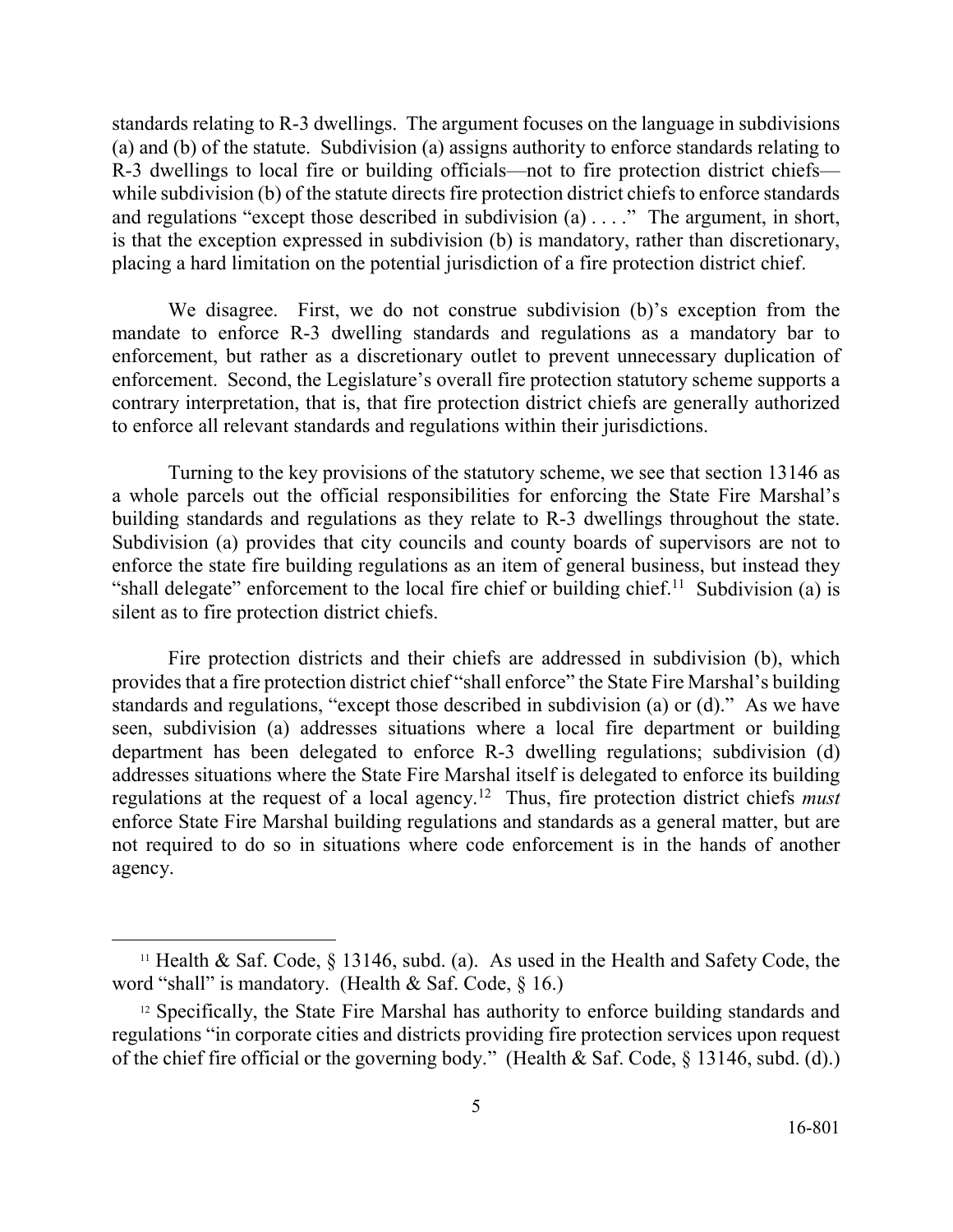standards relating to R-3 dwellings. The argument focuses on the language in subdivisions and regulations "except those described in subdivision (a) . . . ." The argument, in short, (a) and (b) of the statute. Subdivision (a) assigns authority to enforce standards relating to R-3 dwellings to local fire or building officials—not to fire protection district chiefs while subdivision (b) of the statute directs fire protection district chiefs to enforce standards is that the exception expressed in subdivision (b) is mandatory, rather than discretionary, placing a hard limitation on the potential jurisdiction of a fire protection district chief.

 We disagree. First, we do not construe subdivision (b)'s exception from the enforcement. Second, the Legislature's overall fire protection statutory scheme supports a contrary interpretation, that is, that fire protection district chiefs are generally authorized to enforce all relevant standards and regulations within their jurisdictions. mandate to enforce R-3 dwelling standards and regulations as a mandatory bar to enforcement, but rather as a discretionary outlet to prevent unnecessary duplication of

 enforce the state fire building regulations as an item of general business, but instead they "shall delegate" enforcement to the local fire chief or building chief.<sup>11</sup> Subdivision (a) is silent as to fire protection district chiefs. Turning to the key provisions of the statutory scheme, we see that section 13146 as a whole parcels out the official responsibilities for enforcing the State Fire Marshal's building standards and regulations as they relate to R-3 dwellings throughout the state. Subdivision (a) provides that city councils and county boards of supervisors are not to

 provides that a fire protection district chief "shall enforce" the State Fire Marshal's building standards and regulations, "except those described in subdivision (a) or (d)." As we have addresses situations where the State Fire Marshal itself is delegated to enforce its building regulations at the request of a local agency.12 Thus, fire protection district chiefs *must*  enforce State Fire Marshal building regulations and standards as a general matter, but are Fire protection districts and their chiefs are addressed in subdivision (b), which seen, subdivision (a) addresses situations where a local fire department or building department has been delegated to enforce R-3 dwelling regulations; subdivision (d) not required to do so in situations where code enforcement is in the hands of another agency.

 $\overline{a}$ 

<sup>&</sup>lt;sup>11</sup> Health & Saf. Code,  $\S$  13146, subd. (a). As used in the Health and Safety Code, the word "shall" is mandatory. (Health & Saf. Code, § 16.)

 of the chief fire official or the governing body." (Health & Saf. Code, § 13146, subd. (d).) <sup>12</sup> Specifically, the State Fire Marshal has authority to enforce building standards and regulations "in corporate cities and districts providing fire protection services upon request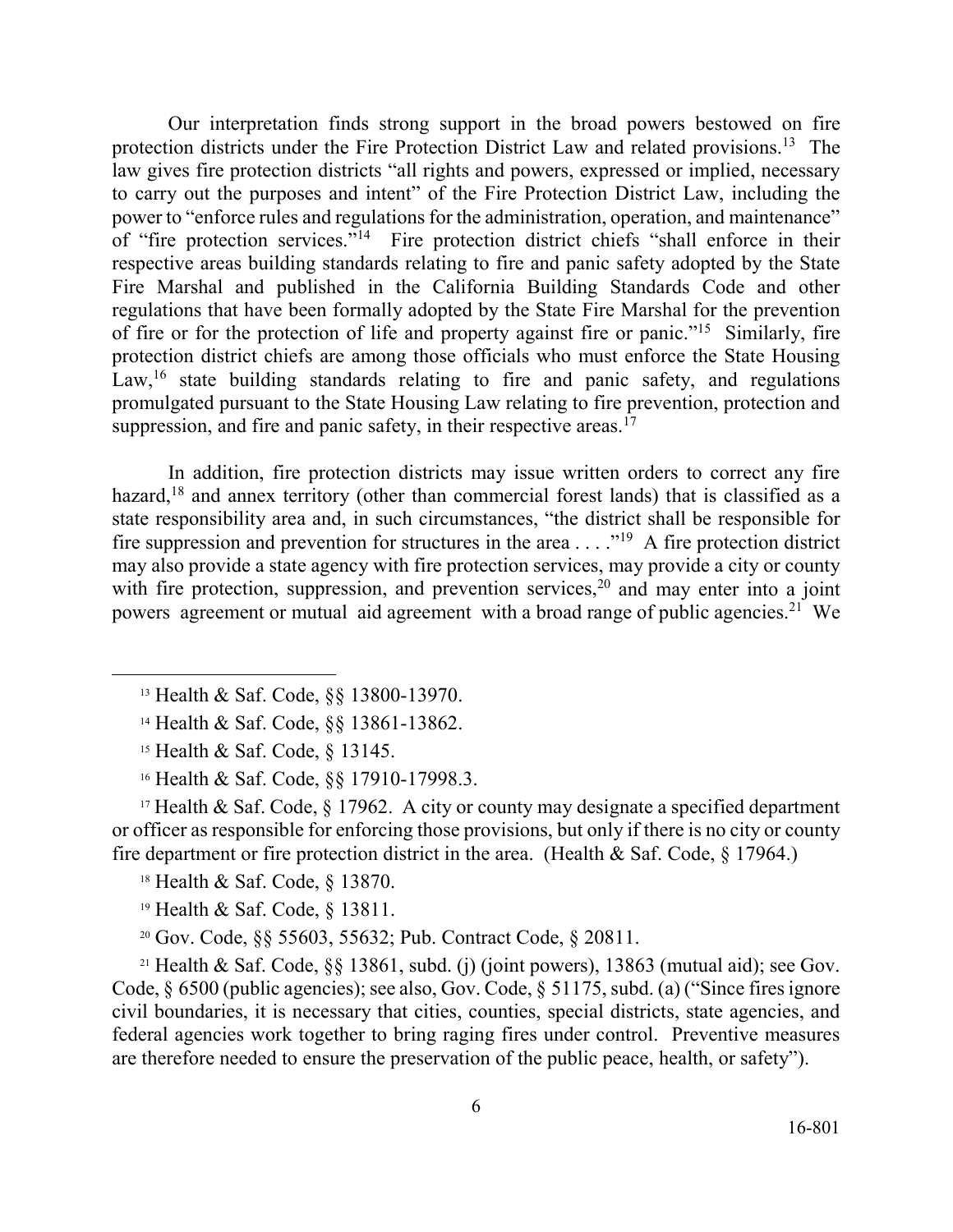protection districts under the Fire Protection District Law and related provisions.<sup>13</sup> The law gives fire protection districts "all rights and powers, expressed or implied, necessary of "fire protection services."<sup>14</sup> Fire protection district chiefs "shall enforce in their of fire or for the protection of life and property against fire or panic."<sup>15</sup> Similarly, fire Law,<sup>16</sup> state building standards relating to fire and panic safety, and regulations Our interpretation finds strong support in the broad powers bestowed on fire to carry out the purposes and intent" of the Fire Protection District Law, including the power to "enforce rules and regulations for the administration, operation, and maintenance" respective areas building standards relating to fire and panic safety adopted by the State Fire Marshal and published in the California Building Standards Code and other regulations that have been formally adopted by the State Fire Marshal for the prevention protection district chiefs are among those officials who must enforce the State Housing promulgated pursuant to the State Housing Law relating to fire prevention, protection and suppression, and fire and panic safety, in their respective areas.<sup>17</sup>

fire suppression and prevention for structures in the area  $\dots$ ."<sup>19</sup> A fire protection district may also provide a state agency with fire protection services, may provide a city or county with fire protection, suppression, and prevention services,<sup>20</sup> and may enter into a joint powers agreement or mutual aid agreement with a broad range of public agencies.<sup>21</sup> We In addition, fire protection districts may issue written orders to correct any fire hazard,<sup>18</sup> and annex territory (other than commercial forest lands) that is classified as a state responsibility area and, in such circumstances, "the district shall be responsible for

 $\overline{a}$ 

<sup>17</sup> Health & Saf. Code,  $\S$  17962. A city or county may designate a specified department or officer as responsible for enforcing those provisions, but only if there is no city or county fire department or fire protection district in the area. (Health  $&$  Saf. Code,  $&$  17964.)

18 Health & Saf. Code, § 13870.

19 Health & Saf. Code, § 13811.

20 Gov. Code, §§ 55603, 55632; Pub. Contract Code, § 20811.

 Code, § 6500 (public agencies); see also, Gov. Code, § 51175, subd. (a) ("Since fires ignore <sup>21</sup> Health & Saf. Code, §§ 13861, subd. (j) (joint powers), 13863 (mutual aid); see Gov. civil boundaries, it is necessary that cities, counties, special districts, state agencies, and federal agencies work together to bring raging fires under control. Preventive measures are therefore needed to ensure the preservation of the public peace, health, or safety").

<sup>13</sup> Health & Saf. Code, §§ 13800-13970.

<sup>14</sup> Health & Saf. Code, §§ 13861-13862.

 15 Health & Saf. Code, § 13145.

<sup>16</sup> Health & Saf. Code, §§ 17910-17998.3.